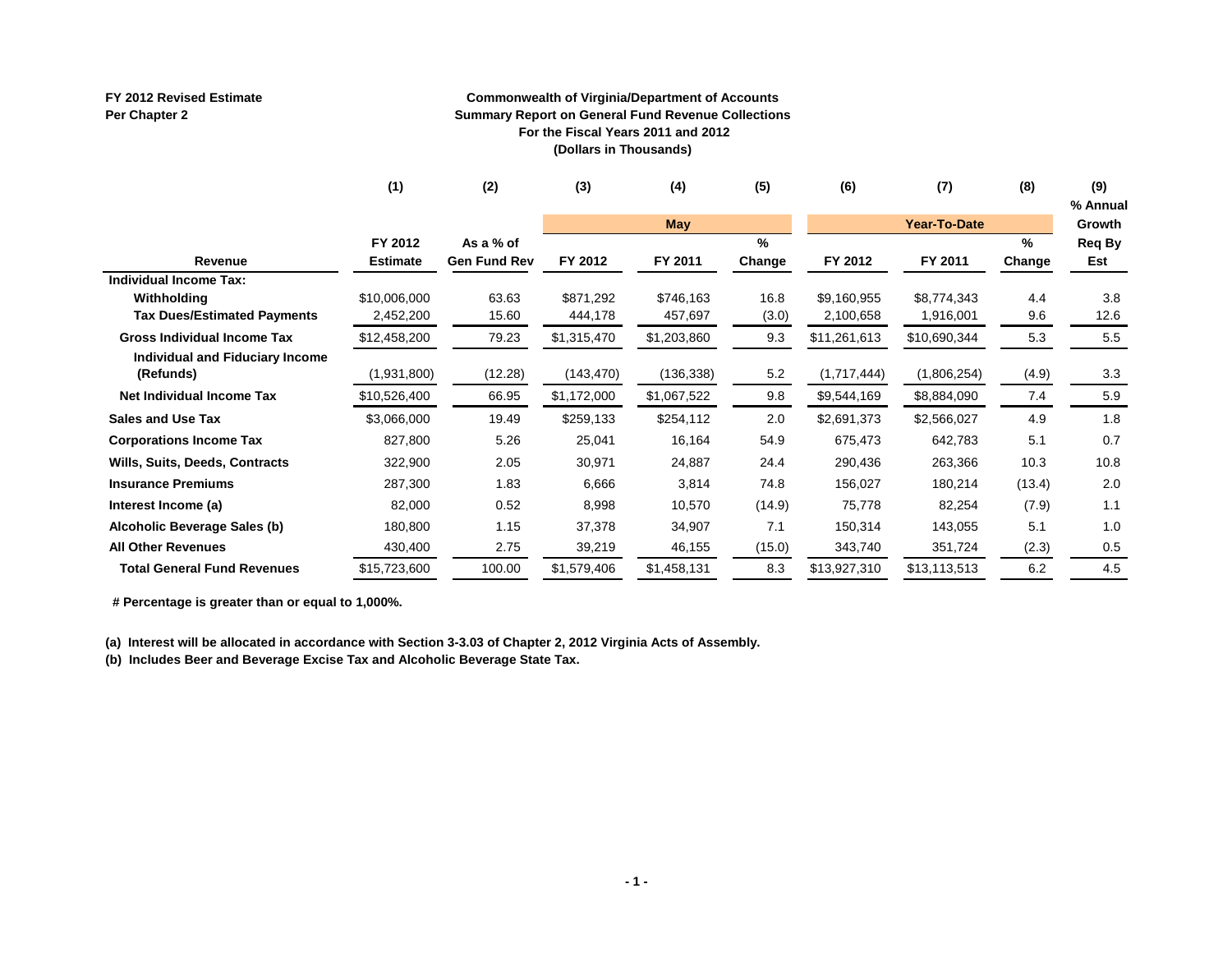#### **FY 2012 Revised Estimate Per Chapter 2**

#### **Commonwealth of Virginia/Department of Accounts Summary Report on General Fund Revenue Collections For the Fiscal Years 2011 and 2012 (Dollars in Thousands)**

|                                    | (1)             | (2)                 | (3)         | (4)         | (5)    | (6)          | (7)                 | (8)    | (9)      |
|------------------------------------|-----------------|---------------------|-------------|-------------|--------|--------------|---------------------|--------|----------|
|                                    |                 |                     |             |             |        |              |                     |        | % Annual |
|                                    |                 |                     |             | May         |        |              | <b>Year-To-Date</b> |        | Growth   |
|                                    | FY 2012         | As a % of           |             |             | %      |              |                     | %      | Req By   |
| Revenue                            | <b>Estimate</b> | <b>Gen Fund Rev</b> | FY 2012     | FY 2011     | Change | FY 2012      | FY 2011             | Change | Est      |
| <b>Individual Income Tax:</b>      |                 |                     |             |             |        |              |                     |        |          |
| Withholding                        | \$10,006,000    | 63.63               | \$871,292   | \$746,163   | 16.8   | \$9,160,955  | \$8,774,343         | 4.4    | 3.8      |
| <b>Tax Dues/Estimated Payments</b> | 2,452,200       | 15.60               | 444,178     | 457,697     | (3.0)  | 2,100,658    | 1,916,001           | 9.6    | 12.6     |
| <b>Gross Individual Income Tax</b> | \$12,458,200    | 79.23               | \$1,315,470 | \$1,203,860 | 9.3    | \$11,261,613 | \$10,690,344        | 5.3    | 5.5      |
| Individual and Fiduciary Income    |                 |                     |             |             |        |              |                     |        |          |
| (Refunds)                          | (1,931,800)     | (12.28)             | (143, 470)  | (136, 338)  | 5.2    | (1,717,444)  | (1,806,254)         | (4.9)  | 3.3      |
| Net Individual Income Tax          | \$10,526,400    | 66.95               | \$1,172,000 | \$1,067,522 | 9.8    | \$9,544,169  | \$8,884,090         | 7.4    | 5.9      |
| <b>Sales and Use Tax</b>           | \$3,066,000     | 19.49               | \$259,133   | \$254,112   | 2.0    | \$2,691,373  | \$2,566,027         | 4.9    | 1.8      |
| <b>Corporations Income Tax</b>     | 827,800         | 5.26                | 25,041      | 16,164      | 54.9   | 675,473      | 642,783             | 5.1    | 0.7      |
| Wills, Suits, Deeds, Contracts     | 322,900         | 2.05                | 30,971      | 24,887      | 24.4   | 290,436      | 263,366             | 10.3   | 10.8     |
| <b>Insurance Premiums</b>          | 287,300         | 1.83                | 6,666       | 3,814       | 74.8   | 156,027      | 180,214             | (13.4) | 2.0      |
| Interest Income (a)                | 82,000          | 0.52                | 8,998       | 10,570      | (14.9) | 75,778       | 82,254              | (7.9)  | 1.1      |
| Alcoholic Beverage Sales (b)       | 180,800         | 1.15                | 37,378      | 34,907      | 7.1    | 150,314      | 143,055             | 5.1    | 1.0      |
| <b>All Other Revenues</b>          | 430,400         | 2.75                | 39,219      | 46,155      | (15.0) | 343,740      | 351,724             | (2.3)  | 0.5      |
| <b>Total General Fund Revenues</b> | \$15,723,600    | 100.00              | \$1,579,406 | \$1,458,131 | 8.3    | \$13,927,310 | \$13,113,513        | 6.2    | 4.5      |

 **# Percentage is greater than or equal to 1,000%.**

**(a) Interest will be allocated in accordance with Section 3-3.03 of Chapter 2, 2012 Virginia Acts of Assembly.**

**(b) Includes Beer and Beverage Excise Tax and Alcoholic Beverage State Tax.**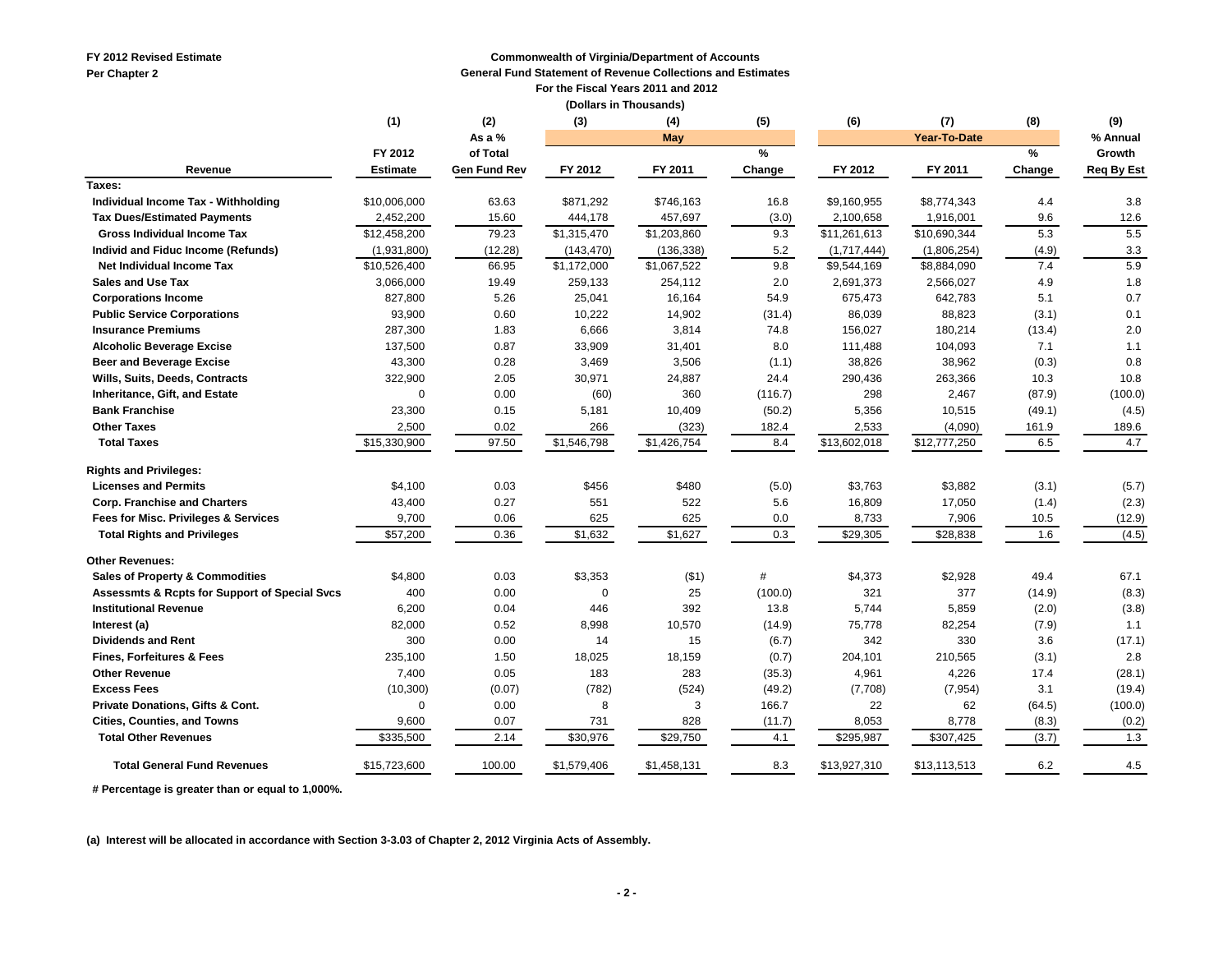**FY 2012 Revised Estimate**

**Per Chapter 2**

#### **Commonwealth of Virginia/Department of Accounts**

**General Fund Statement of Revenue Collections and Estimates**

 **For the Fiscal Years 2011 and 2012**

|  |  | (Dollars in Thousands) |
|--|--|------------------------|
|--|--|------------------------|

|                                                          | (1)             | (2)                 | (3)         | (4)         | (5)           | (6)          | (7)          | (8)    | (9)               |
|----------------------------------------------------------|-----------------|---------------------|-------------|-------------|---------------|--------------|--------------|--------|-------------------|
|                                                          |                 | As a %              |             | May         |               |              | Year-To-Date |        | % Annual          |
|                                                          | FY 2012         | of Total            |             |             | $\frac{9}{6}$ |              |              | %      | Growth            |
| Revenue                                                  | <b>Estimate</b> | <b>Gen Fund Rev</b> | FY 2012     | FY 2011     | Change        | FY 2012      | FY 2011      | Change | <b>Req By Est</b> |
| Taxes:                                                   |                 |                     |             |             |               |              |              |        |                   |
| Individual Income Tax - Withholding                      | \$10,006,000    | 63.63               | \$871,292   | \$746,163   | 16.8          | \$9,160,955  | \$8,774,343  | 4.4    | 3.8               |
| <b>Tax Dues/Estimated Payments</b>                       | 2,452,200       | 15.60               | 444,178     | 457,697     | (3.0)         | 2,100,658    | 1,916,001    | 9.6    | 12.6              |
| <b>Gross Individual Income Tax</b>                       | \$12,458,200    | 79.23               | \$1,315,470 | \$1,203,860 | 9.3           | \$11,261,613 | \$10,690,344 | 5.3    | 5.5               |
| Individ and Fiduc Income (Refunds)                       | (1,931,800)     | (12.28)             | (143, 470)  | (136, 338)  | 5.2           | (1,717,444)  | (1,806,254)  | (4.9)  | 3.3               |
| Net Individual Income Tax                                | \$10,526,400    | 66.95               | \$1,172,000 | \$1,067,522 | 9.8           | \$9,544,169  | \$8,884,090  | 7.4    | 5.9               |
| <b>Sales and Use Tax</b>                                 | 3,066,000       | 19.49               | 259,133     | 254,112     | 2.0           | 2,691,373    | 2,566,027    | 4.9    | 1.8               |
| <b>Corporations Income</b>                               | 827,800         | 5.26                | 25,041      | 16,164      | 54.9          | 675,473      | 642,783      | 5.1    | 0.7               |
| <b>Public Service Corporations</b>                       | 93,900          | 0.60                | 10,222      | 14,902      | (31.4)        | 86,039       | 88,823       | (3.1)  | 0.1               |
| <b>Insurance Premiums</b>                                | 287,300         | 1.83                | 6,666       | 3,814       | 74.8          | 156,027      | 180,214      | (13.4) | 2.0               |
| <b>Alcoholic Beverage Excise</b>                         | 137,500         | 0.87                | 33,909      | 31,401      | 8.0           | 111,488      | 104,093      | 7.1    | 1.1               |
| <b>Beer and Beverage Excise</b>                          | 43,300          | 0.28                | 3,469       | 3,506       | (1.1)         | 38,826       | 38,962       | (0.3)  | 0.8               |
| Wills, Suits, Deeds, Contracts                           | 322,900         | 2.05                | 30,971      | 24,887      | 24.4          | 290,436      | 263,366      | 10.3   | 10.8              |
| Inheritance, Gift, and Estate                            | $\Omega$        | 0.00                | (60)        | 360         | (116.7)       | 298          | 2,467        | (87.9) | (100.0)           |
| <b>Bank Franchise</b>                                    | 23,300          | 0.15                | 5,181       | 10,409      | (50.2)        | 5,356        | 10,515       | (49.1) | (4.5)             |
| <b>Other Taxes</b>                                       | 2,500           | 0.02                | 266         | (323)       | 182.4         | 2,533        | (4,090)      | 161.9  | 189.6             |
| <b>Total Taxes</b>                                       | \$15,330,900    | 97.50               | \$1,546,798 | \$1,426,754 | 8.4           | \$13,602,018 | \$12,777,250 | 6.5    | 4.7               |
| <b>Rights and Privileges:</b>                            |                 |                     |             |             |               |              |              |        |                   |
| <b>Licenses and Permits</b>                              | \$4,100         | 0.03                | \$456       | \$480       | (5.0)         | \$3,763      | \$3,882      | (3.1)  | (5.7)             |
| <b>Corp. Franchise and Charters</b>                      | 43,400          | 0.27                | 551         | 522         | 5.6           | 16,809       | 17,050       | (1.4)  | (2.3)             |
| Fees for Misc. Privileges & Services                     | 9,700           | 0.06                | 625         | 625         | 0.0           | 8,733        | 7,906        | 10.5   | (12.9)            |
| <b>Total Rights and Privileges</b>                       | \$57,200        | 0.36                | \$1,632     | \$1,627     | 0.3           | \$29,305     | \$28,838     | 1.6    | (4.5)             |
| <b>Other Revenues:</b>                                   |                 |                     |             |             |               |              |              |        |                   |
| <b>Sales of Property &amp; Commodities</b>               | \$4,800         | 0.03                | \$3,353     | ( \$1)      | #             | \$4,373      | \$2,928      | 49.4   | 67.1              |
| <b>Assessmts &amp; Rcpts for Support of Special Svcs</b> | 400             | 0.00                | $\Omega$    | 25          | (100.0)       | 321          | 377          | (14.9) | (8.3)             |
| <b>Institutional Revenue</b>                             | 6,200           | 0.04                | 446         | 392         | 13.8          | 5,744        | 5,859        | (2.0)  | (3.8)             |
| Interest (a)                                             | 82,000          | 0.52                | 8,998       | 10,570      | (14.9)        | 75,778       | 82,254       | (7.9)  | 1.1               |
| <b>Dividends and Rent</b>                                | 300             | 0.00                | 14          | 15          | (6.7)         | 342          | 330          | 3.6    | (17.1)            |
| <b>Fines, Forfeitures &amp; Fees</b>                     | 235,100         | 1.50                | 18,025      | 18,159      | (0.7)         | 204,101      | 210,565      | (3.1)  | 2.8               |
| <b>Other Revenue</b>                                     | 7,400           | 0.05                | 183         | 283         | (35.3)        | 4,961        | 4,226        | 17.4   | (28.1)            |
| <b>Excess Fees</b>                                       | (10, 300)       | (0.07)              | (782)       | (524)       | (49.2)        | (7,708)      | (7, 954)     | 3.1    | (19.4)            |
| <b>Private Donations, Gifts &amp; Cont.</b>              | $\mathbf 0$     | 0.00                | 8           | 3           | 166.7         | 22           | 62           | (64.5) | (100.0)           |
| <b>Cities, Counties, and Towns</b>                       | 9,600           | 0.07                | 731         | 828         | (11.7)        | 8,053        | 8,778        | (8.3)  | (0.2)             |
| <b>Total Other Revenues</b>                              | \$335,500       | 2.14                | \$30,976    | \$29,750    | 4.1           | \$295,987    | \$307,425    | (3.7)  | 1.3               |
| <b>Total General Fund Revenues</b>                       | \$15,723,600    | 100.00              | \$1,579,406 | \$1,458,131 | 8.3           | \$13,927,310 | \$13,113,513 | 6.2    | 4.5               |

 **# Percentage is greater than or equal to 1,000%.**

**(a) Interest will be allocated in accordance with Section 3-3.03 of Chapter 2, 2012 Virginia Acts of Assembly.**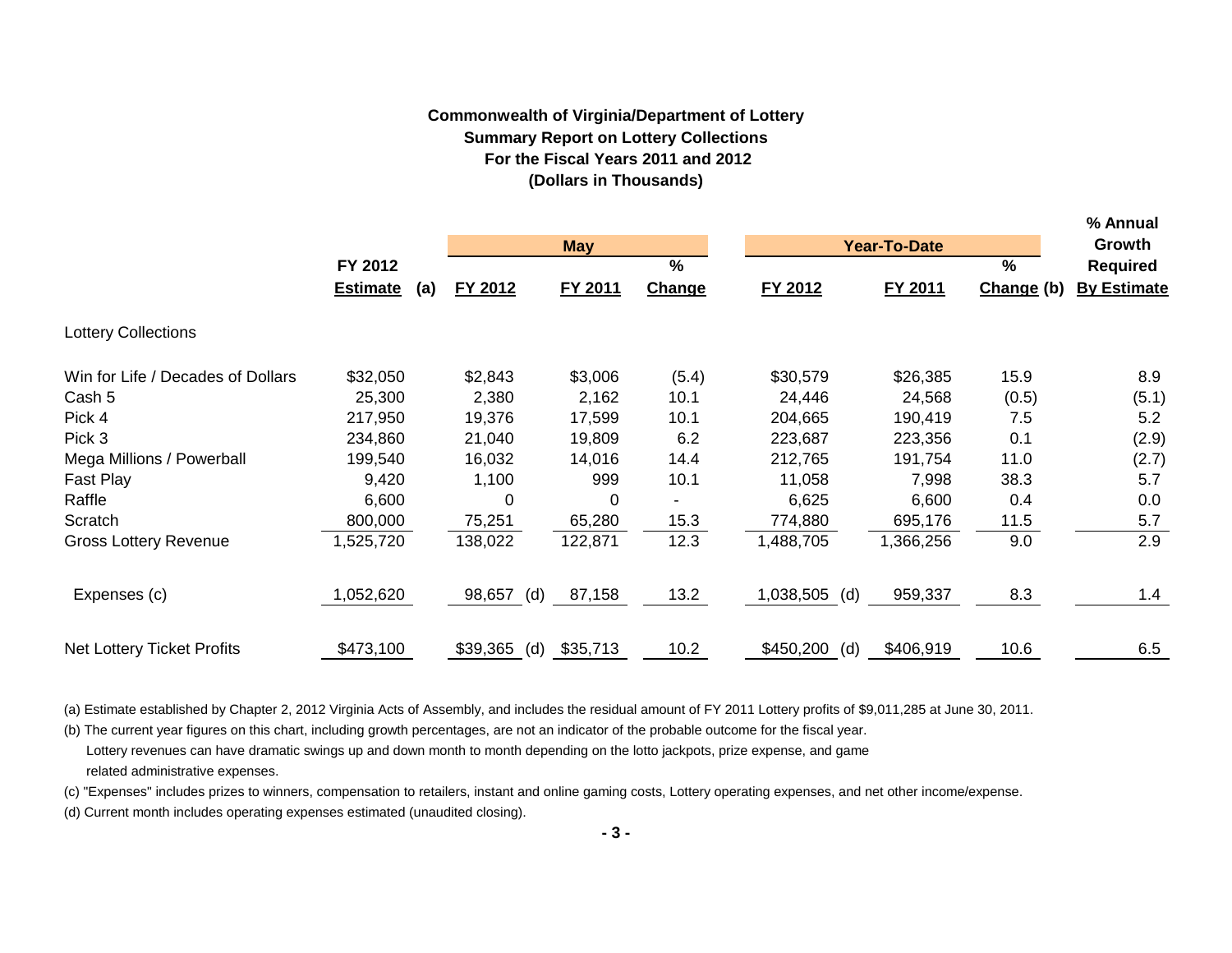# **Commonwealth of Virginia/Department of Lottery Summary Report on Lottery Collections For the Fiscal Years 2011 and 2012 (Dollars in Thousands)**

**% Annual**

|                                   |                        |                 |            |        |                  |                     |            | % Annuai           |  |
|-----------------------------------|------------------------|-----------------|------------|--------|------------------|---------------------|------------|--------------------|--|
|                                   |                        |                 | <b>May</b> |        |                  | <b>Year-To-Date</b> |            | Growth             |  |
|                                   | FY 2012                |                 |            | %      |                  |                     | %          | <b>Required</b>    |  |
|                                   | <b>Estimate</b><br>(a) | FY 2012         | FY 2011    | Change | FY 2012          | FY 2011             | Change (b) | <b>By Estimate</b> |  |
| <b>Lottery Collections</b>        |                        |                 |            |        |                  |                     |            |                    |  |
| Win for Life / Decades of Dollars | \$32,050               | \$2,843         | \$3,006    | (5.4)  | \$30,579         | \$26,385            | 15.9       | 8.9                |  |
| Cash 5                            | 25,300                 | 2,380           | 2,162      | 10.1   | 24,446           | 24,568              | (0.5)      | (5.1)              |  |
| Pick 4                            | 217,950                | 19,376          | 17,599     | 10.1   | 204,665          | 190,419             | 7.5        | 5.2                |  |
| Pick 3                            | 234,860                | 21,040          | 19,809     | 6.2    | 223,687          | 223,356             | 0.1        | (2.9)              |  |
| Mega Millions / Powerball         | 199,540                | 16,032          | 14,016     | 14.4   | 212,765          | 191,754             | 11.0       | (2.7)              |  |
| Fast Play                         | 9,420                  | 1,100           | 999        | 10.1   | 11,058           | 7,998               | 38.3       | 5.7                |  |
| Raffle                            | 6,600                  | 0               | 0          |        | 6,625            | 6,600               | 0.4        | 0.0                |  |
| Scratch                           | 800,000                | 75,251          | 65,280     | 15.3   | 774,880          | 695,176             | 11.5       | 5.7                |  |
| <b>Gross Lottery Revenue</b>      | ,525,720               | 138,022         | 122,871    | 12.3   | 1,488,705        | 1,366,256           | 9.0        | 2.9                |  |
| Expenses (c)                      | ,052,620               | 98,657<br>(d)   | 87,158     | 13.2   | 1,038,505<br>(d) | 959,337             | 8.3        | 1.4                |  |
| <b>Net Lottery Ticket Profits</b> | \$473,100              | \$39,365<br>(d) | \$35,713   | 10.2   | \$450,200<br>(d) | \$406,919           | 10.6       | 6.5                |  |

(a) Estimate established by Chapter 2, 2012 Virginia Acts of Assembly, and includes the residual amount of FY 2011 Lottery profits of \$9,011,285 at June 30, 2011.

(b) The current year figures on this chart, including growth percentages, are not an indicator of the probable outcome for the fiscal year. Lottery revenues can have dramatic swings up and down month to month depending on the lotto jackpots, prize expense, and game related administrative expenses.

(c) "Expenses" includes prizes to winners, compensation to retailers, instant and online gaming costs, Lottery operating expenses, and net other income/expense.

(d) Current month includes operating expenses estimated (unaudited closing).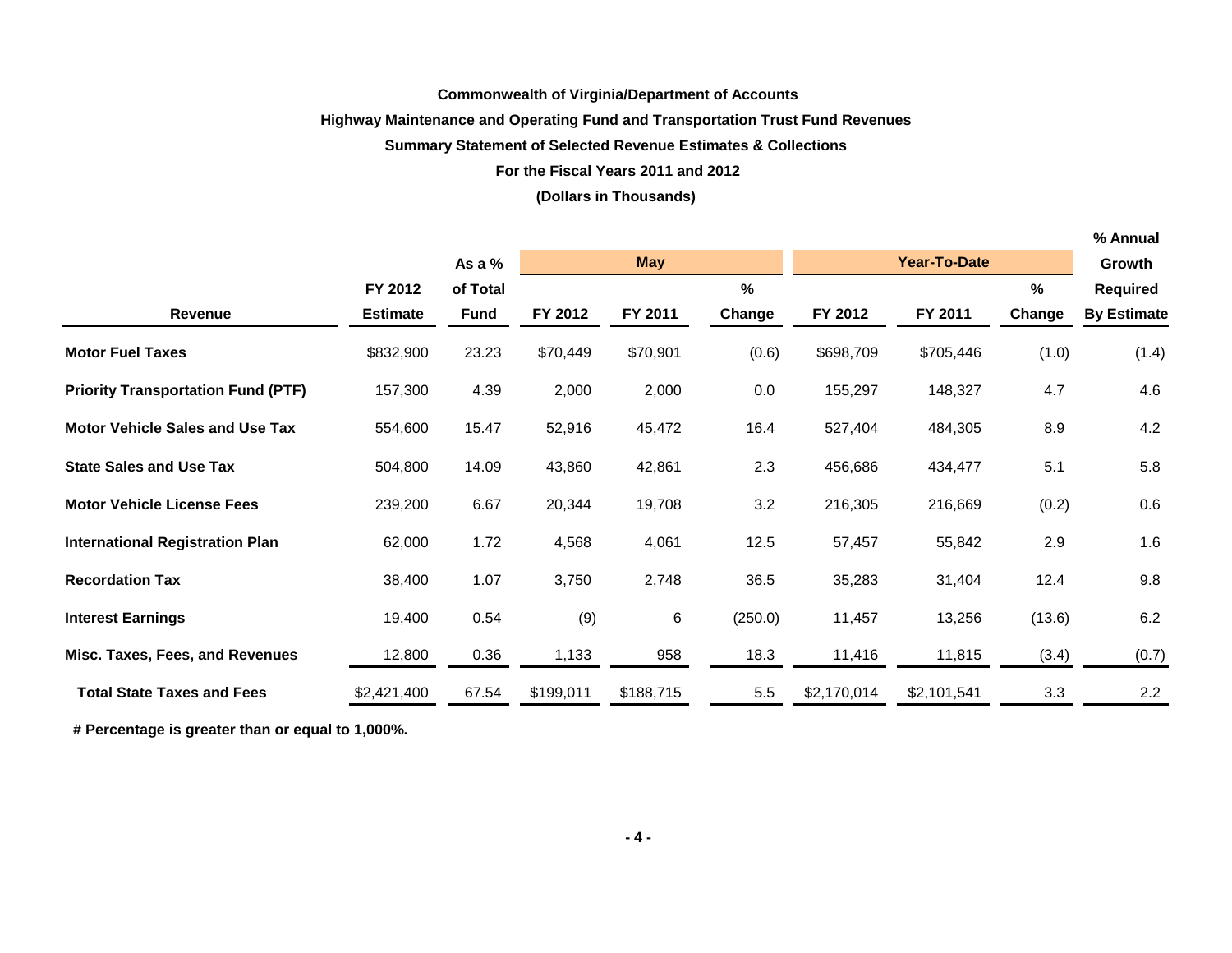### **Commonwealth of Virginia/Department of Accounts**

## **Highway Maintenance and Operating Fund and Transportation Trust Fund Revenues**

#### **Summary Statement of Selected Revenue Estimates & Collections**

#### **For the Fiscal Years 2011 and 2012**

#### **(Dollars in Thousands)**

|                                           |                 |          |           |            |               |             |                     |        | % Annual           |
|-------------------------------------------|-----------------|----------|-----------|------------|---------------|-------------|---------------------|--------|--------------------|
|                                           |                 | As a %   |           | <b>May</b> |               |             | <b>Year-To-Date</b> |        | Growth             |
|                                           | FY 2012         | of Total |           |            | $\frac{0}{0}$ |             |                     | %      | <b>Required</b>    |
| <b>Revenue</b>                            | <b>Estimate</b> | Fund     | FY 2012   | FY 2011    | Change        | FY 2012     | FY 2011             | Change | <b>By Estimate</b> |
| <b>Motor Fuel Taxes</b>                   | \$832,900       | 23.23    | \$70,449  | \$70,901   | (0.6)         | \$698,709   | \$705,446           | (1.0)  | (1.4)              |
| <b>Priority Transportation Fund (PTF)</b> | 157,300         | 4.39     | 2,000     | 2,000      | 0.0           | 155,297     | 148,327             | 4.7    | 4.6                |
| <b>Motor Vehicle Sales and Use Tax</b>    | 554,600         | 15.47    | 52,916    | 45,472     | 16.4          | 527,404     | 484,305             | 8.9    | 4.2                |
| <b>State Sales and Use Tax</b>            | 504,800         | 14.09    | 43,860    | 42,861     | 2.3           | 456,686     | 434,477             | 5.1    | 5.8                |
| <b>Motor Vehicle License Fees</b>         | 239,200         | 6.67     | 20,344    | 19,708     | 3.2           | 216,305     | 216,669             | (0.2)  | 0.6                |
| <b>International Registration Plan</b>    | 62,000          | 1.72     | 4,568     | 4,061      | 12.5          | 57,457      | 55,842              | 2.9    | 1.6                |
| <b>Recordation Tax</b>                    | 38,400          | 1.07     | 3,750     | 2,748      | 36.5          | 35,283      | 31,404              | 12.4   | 9.8                |
| <b>Interest Earnings</b>                  | 19,400          | 0.54     | (9)       | 6          | (250.0)       | 11,457      | 13,256              | (13.6) | $6.2\,$            |
| Misc. Taxes, Fees, and Revenues           | 12,800          | 0.36     | 1,133     | 958        | 18.3          | 11,416      | 11,815              | (3.4)  | (0.7)              |
| <b>Total State Taxes and Fees</b>         | \$2,421,400     | 67.54    | \$199,011 | \$188,715  | 5.5           | \$2,170,014 | \$2,101,541         | 3.3    | 2.2                |

 **# Percentage is greater than or equal to 1,000%.**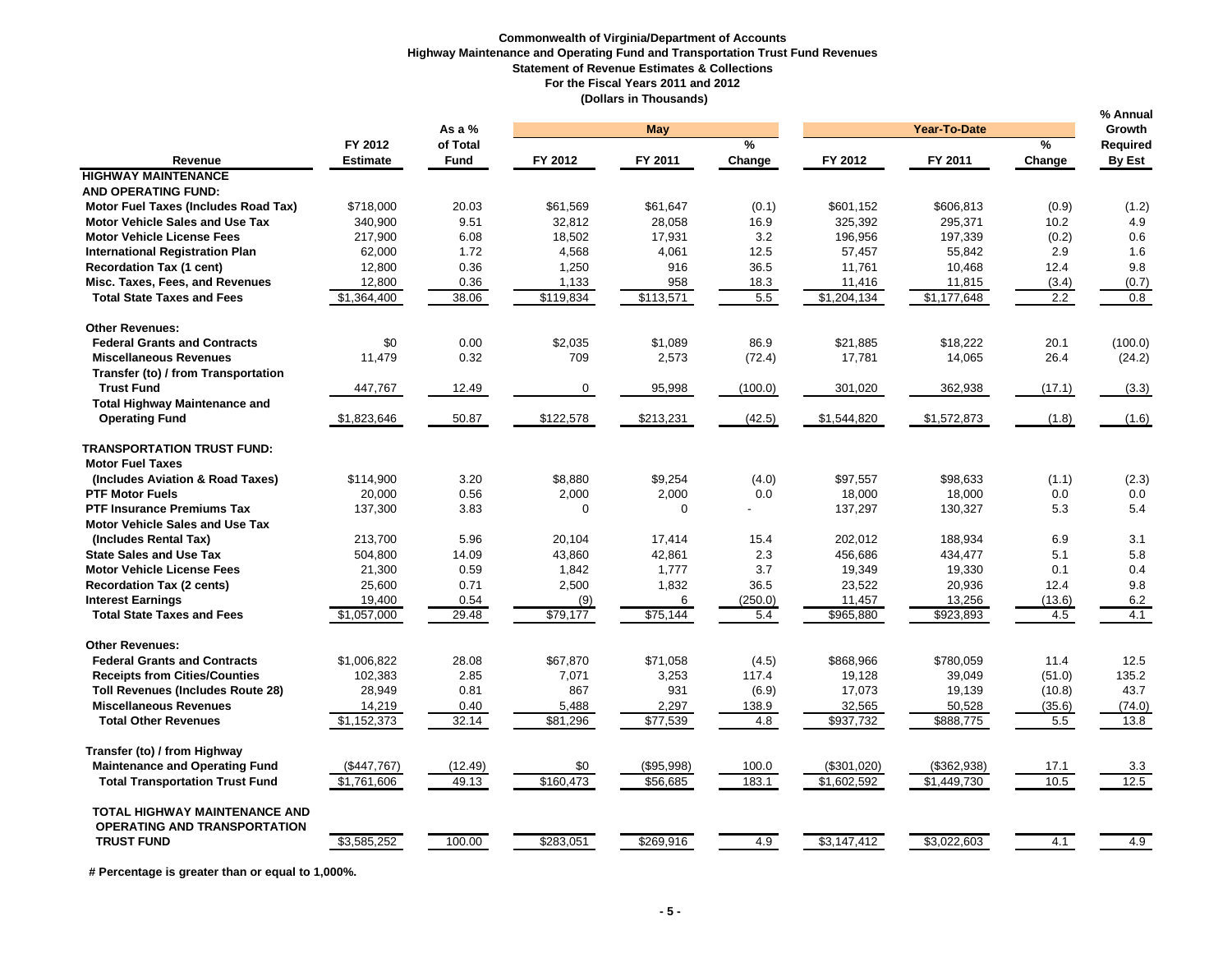#### **Commonwealth of Virginia/Department of Accounts Highway Maintenance and Operating Fund and Transportation Trust Fund Revenues Statement of Revenue Estimates & Collections For the Fiscal Years 2011 and 2012 (Dollars in Thousands)**

|                                                                             |                 |             |           |            |               |             |                     |               | % Annual |
|-----------------------------------------------------------------------------|-----------------|-------------|-----------|------------|---------------|-------------|---------------------|---------------|----------|
|                                                                             |                 | As a $%$    |           | May        |               |             | <b>Year-To-Date</b> |               | Growth   |
|                                                                             | FY 2012         | of Total    |           |            | $\frac{9}{6}$ |             |                     | $\frac{9}{6}$ | Required |
| Revenue                                                                     | <b>Estimate</b> | <b>Fund</b> | FY 2012   | FY 2011    | Change        | FY 2012     | FY 2011             | Change        | By Est   |
| <b>HIGHWAY MAINTENANCE</b>                                                  |                 |             |           |            |               |             |                     |               |          |
| <b>AND OPERATING FUND:</b>                                                  |                 |             |           |            |               |             |                     |               |          |
| Motor Fuel Taxes (Includes Road Tax)                                        | \$718,000       | 20.03       | \$61,569  | \$61,647   | (0.1)         | \$601,152   | \$606,813           | (0.9)         | (1.2)    |
| <b>Motor Vehicle Sales and Use Tax</b>                                      | 340,900         | 9.51        | 32,812    | 28,058     | 16.9          | 325,392     | 295,371             | 10.2          | 4.9      |
| <b>Motor Vehicle License Fees</b>                                           | 217,900         | 6.08        | 18,502    | 17,931     | 3.2           | 196,956     | 197,339             | (0.2)         | 0.6      |
| <b>International Registration Plan</b>                                      | 62,000          | 1.72        | 4,568     | 4,061      | 12.5          | 57,457      | 55,842              | 2.9           | 1.6      |
| <b>Recordation Tax (1 cent)</b>                                             | 12,800          | 0.36        | 1,250     | 916        | 36.5          | 11,761      | 10,468              | 12.4          | 9.8      |
| Misc. Taxes, Fees, and Revenues                                             | 12,800          | 0.36        | 1,133     | 958        | 18.3          | 11,416      | 11,815              | (3.4)         | (0.7)    |
| <b>Total State Taxes and Fees</b>                                           | \$1,364,400     | 38.06       | \$119,834 | \$113,571  | 5.5           | \$1,204,134 | \$1,177,648         | 2.2           | 0.8      |
| <b>Other Revenues:</b>                                                      |                 |             |           |            |               |             |                     |               |          |
| <b>Federal Grants and Contracts</b>                                         | \$0             | 0.00        | \$2,035   | \$1,089    | 86.9          | \$21,885    | \$18,222            | 20.1          | (100.0)  |
| <b>Miscellaneous Revenues</b>                                               | 11,479          | 0.32        | 709       | 2,573      | (72.4)        | 17,781      | 14,065              | 26.4          | (24.2)   |
| Transfer (to) / from Transportation                                         |                 |             |           |            |               |             |                     |               |          |
| <b>Trust Fund</b>                                                           | 447,767         | 12.49       | 0         | 95,998     | (100.0)       | 301,020     | 362,938             | (17.1)        | (3.3)    |
| <b>Total Highway Maintenance and</b>                                        |                 |             |           |            |               |             |                     |               |          |
| <b>Operating Fund</b>                                                       | \$1,823,646     | 50.87       | \$122,578 | \$213,231  | (42.5)        | \$1,544,820 | \$1,572,873         | (1.8)         | (1.6)    |
| <b>TRANSPORTATION TRUST FUND:</b>                                           |                 |             |           |            |               |             |                     |               |          |
| <b>Motor Fuel Taxes</b>                                                     |                 |             |           |            |               |             |                     |               |          |
| (Includes Aviation & Road Taxes)                                            | \$114.900       | 3.20        | \$8,880   | \$9,254    | (4.0)         | \$97.557    | \$98.633            | (1.1)         | (2.3)    |
| <b>PTF Motor Fuels</b>                                                      | 20.000          | 0.56        | 2,000     | 2,000      | 0.0           | 18,000      | 18,000              | 0.0           | 0.0      |
| <b>PTF Insurance Premiums Tax</b>                                           | 137,300         | 3.83        | $\Omega$  | $\Omega$   |               | 137,297     | 130,327             | 5.3           | 5.4      |
| <b>Motor Vehicle Sales and Use Tax</b>                                      |                 |             |           |            |               |             |                     |               |          |
| (Includes Rental Tax)                                                       | 213.700         | 5.96        | 20.104    | 17.414     | 15.4          | 202.012     | 188,934             | 6.9           | 3.1      |
| <b>State Sales and Use Tax</b>                                              | 504,800         | 14.09       | 43,860    | 42,861     | 2.3           | 456,686     | 434,477             | 5.1           | 5.8      |
| <b>Motor Vehicle License Fees</b>                                           | 21,300          | 0.59        | 1,842     | 1,777      | 3.7           | 19,349      | 19,330              | 0.1           | 0.4      |
| <b>Recordation Tax (2 cents)</b>                                            | 25,600          | 0.71        | 2,500     | 1,832      | 36.5          | 23,522      | 20,936              | 12.4          | 9.8      |
| <b>Interest Earnings</b>                                                    | 19,400          | 0.54        | (9)       | 6          | (250.0)       | 11,457      | 13,256              | (13.6)        | 6.2      |
| <b>Total State Taxes and Fees</b>                                           | \$1,057,000     | 29.48       | \$79,177  | \$75,144   | 5.4           | \$965,880   | \$923,893           | 4.5           | 4.1      |
| <b>Other Revenues:</b>                                                      |                 |             |           |            |               |             |                     |               |          |
| <b>Federal Grants and Contracts</b>                                         | \$1,006,822     | 28.08       | \$67,870  | \$71,058   | (4.5)         | \$868,966   | \$780,059           | 11.4          | 12.5     |
| <b>Receipts from Cities/Counties</b>                                        | 102,383         | 2.85        | 7,071     | 3,253      | 117.4         | 19,128      | 39,049              | (51.0)        | 135.2    |
| <b>Toll Revenues (Includes Route 28)</b>                                    | 28,949          | 0.81        | 867       | 931        | (6.9)         | 17,073      | 19,139              | (10.8)        | 43.7     |
| <b>Miscellaneous Revenues</b>                                               | 14,219          | 0.40        | 5,488     | 2,297      | 138.9         | 32,565      | 50,528              | (35.6)        | (74.0)   |
| <b>Total Other Revenues</b>                                                 | \$1,152,373     | 32.14       | \$81,296  | \$77,539   | 4.8           | \$937,732   | \$888,775           | 5.5           | 13.8     |
| Transfer (to) / from Highway                                                |                 |             |           |            |               |             |                     |               |          |
| <b>Maintenance and Operating Fund</b>                                       | (\$447,767)     | (12.49)     | \$0       | (\$95,998) | 100.0         | (\$301,020) | (\$362,938)         | 17.1          | 3.3      |
| <b>Total Transportation Trust Fund</b>                                      | \$1,761,606     | 49.13       | \$160,473 | \$56,685   | 183.1         | \$1,602,592 | \$1,449,730         | 10.5          | 12.5     |
| <b>TOTAL HIGHWAY MAINTENANCE AND</b><br><b>OPERATING AND TRANSPORTATION</b> |                 |             |           |            |               |             |                     |               |          |
| <b>TRUST FUND</b>                                                           | \$3,585,252     | 100.00      | \$283,051 | \$269,916  | 4.9           | \$3,147,412 | \$3,022,603         | 4.1           | 4.9      |

 **# Percentage is greater than or equal to 1,000%.**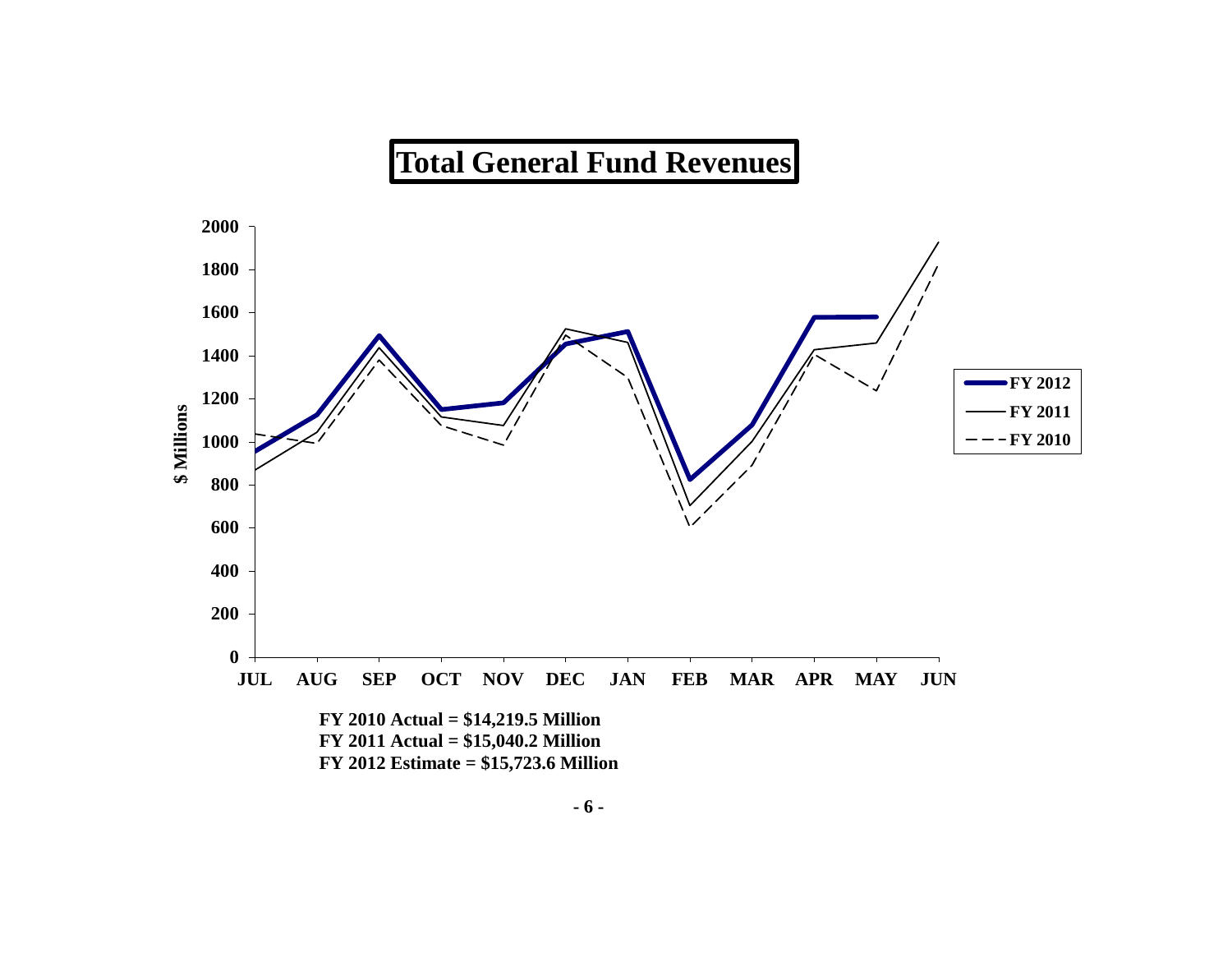# **Total General Fund Revenues**

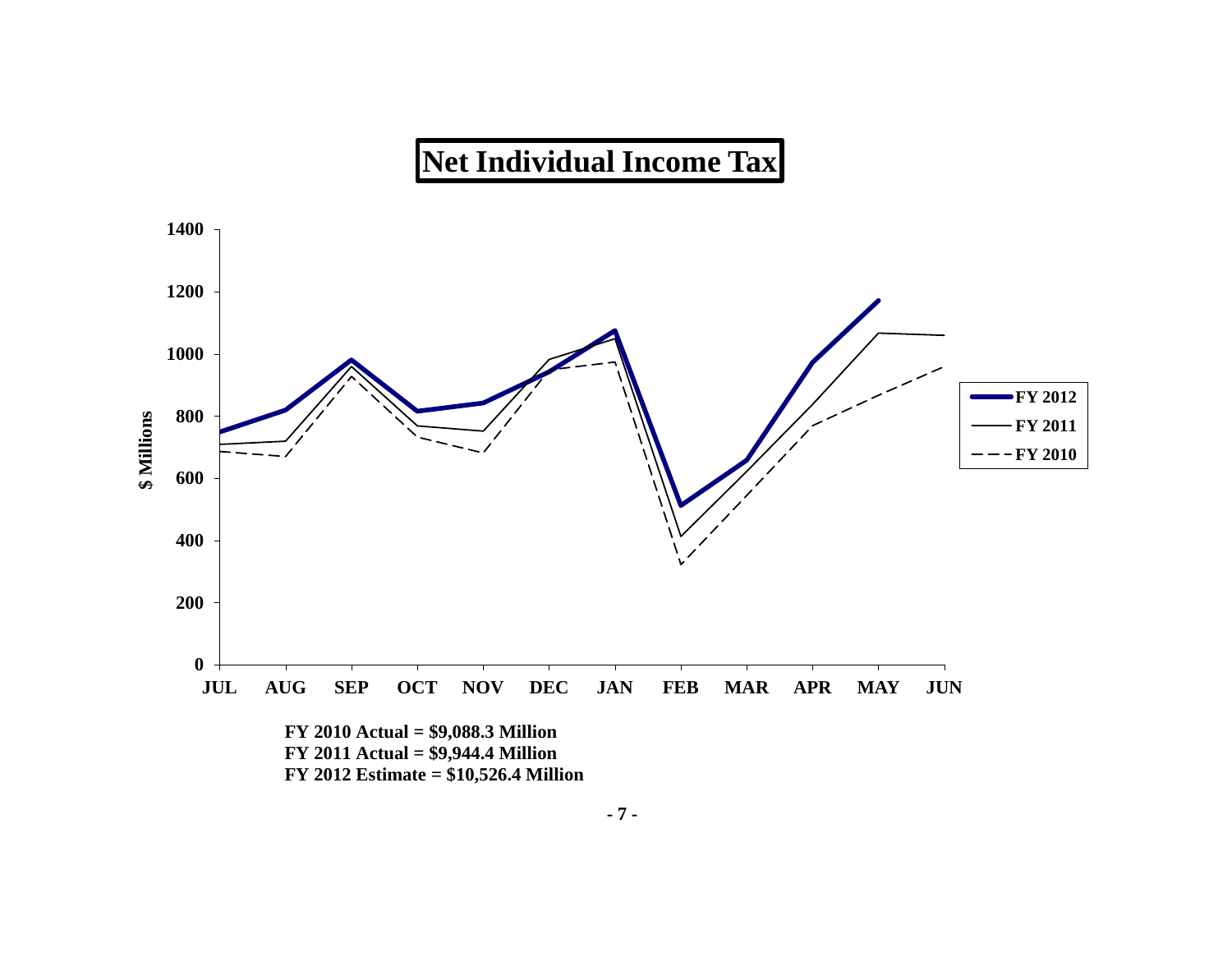# **Net Individual Income Tax**

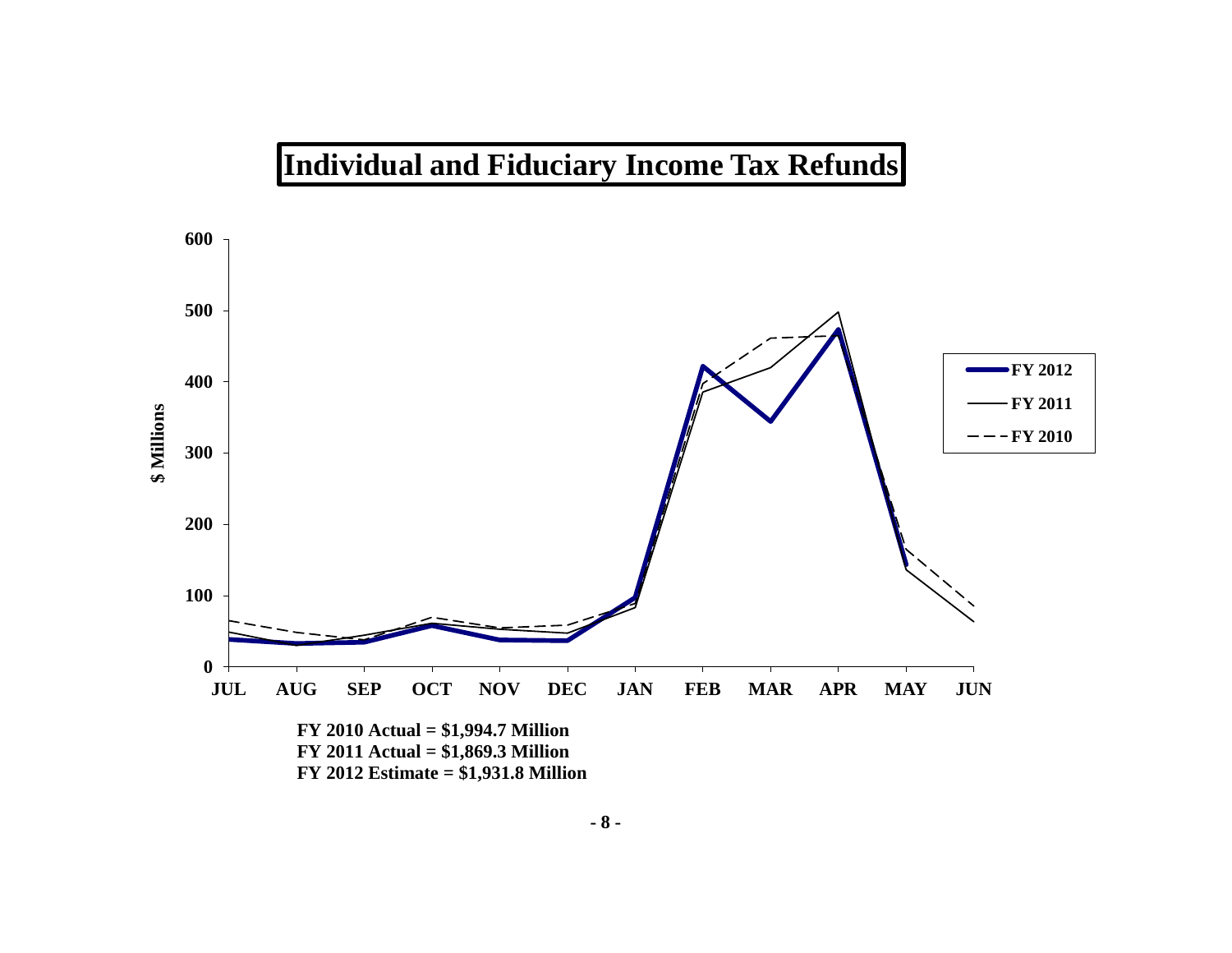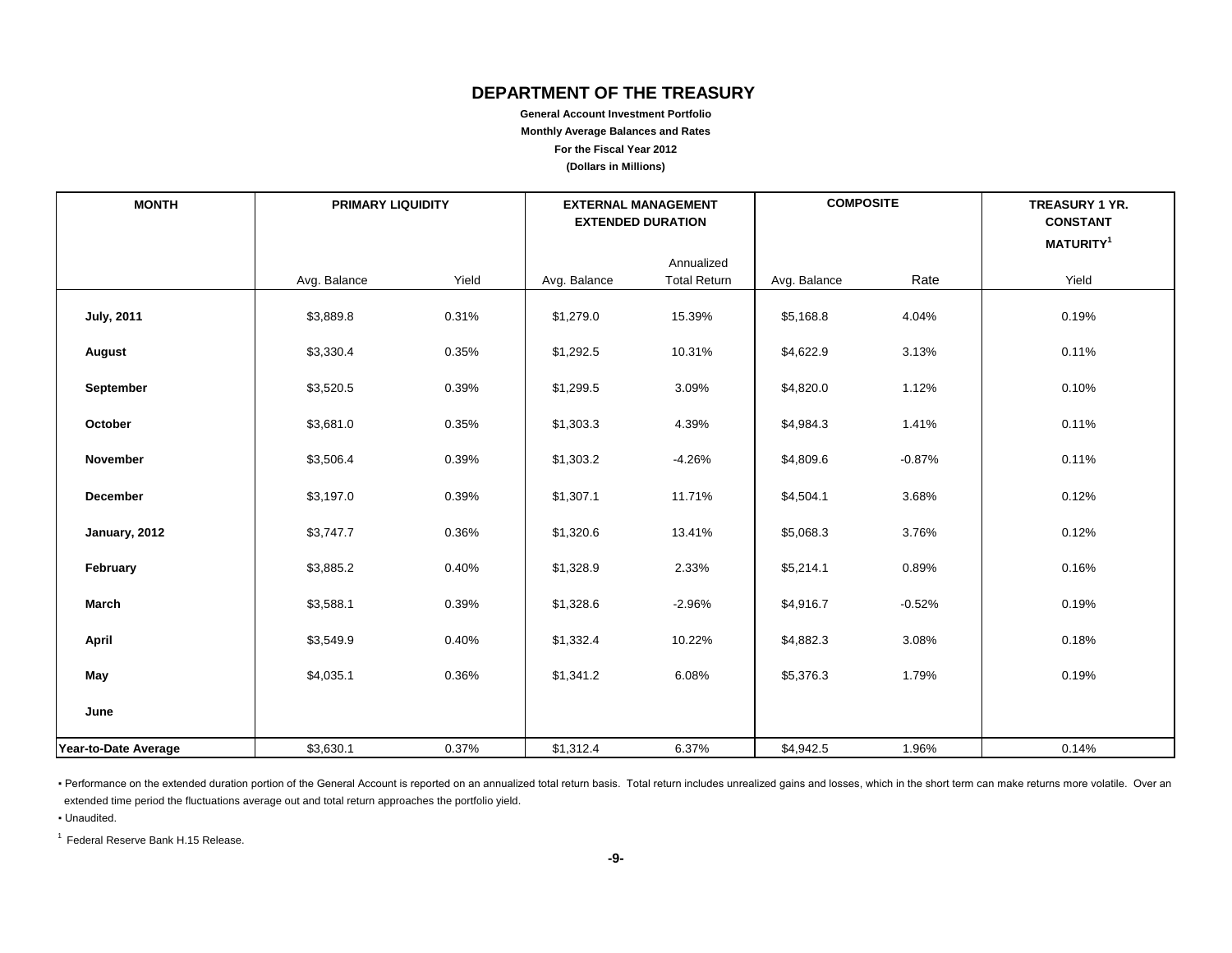# **DEPARTMENT OF THE TREASURY**

**General Account Investment Portfolio Monthly Average Balances and Rates For the Fiscal Year 2012 (Dollars in Millions)**

| <b>MONTH</b>         | <b>PRIMARY LIQUIDITY</b> |       | <b>EXTERNAL MANAGEMENT</b><br><b>EXTENDED DURATION</b> |                                   | <b>COMPOSITE</b> |          | <b>TREASURY 1 YR.</b><br><b>CONSTANT</b> |
|----------------------|--------------------------|-------|--------------------------------------------------------|-----------------------------------|------------------|----------|------------------------------------------|
|                      |                          |       |                                                        |                                   |                  |          | MATURITY <sup>1</sup>                    |
|                      | Avg. Balance             | Yield | Avg. Balance                                           | Annualized<br><b>Total Return</b> | Avg. Balance     | Rate     | Yield                                    |
| <b>July, 2011</b>    | \$3,889.8                | 0.31% | \$1,279.0                                              | 15.39%                            | \$5,168.8        | 4.04%    | 0.19%                                    |
| August               | \$3,330.4                | 0.35% | \$1,292.5                                              | 10.31%                            | \$4,622.9        | 3.13%    | 0.11%                                    |
| September            | \$3,520.5                | 0.39% | \$1,299.5                                              | 3.09%                             | \$4,820.0        | 1.12%    | 0.10%                                    |
| October              | \$3,681.0                | 0.35% | \$1,303.3                                              | 4.39%                             | \$4,984.3        | 1.41%    | 0.11%                                    |
| <b>November</b>      | \$3,506.4                | 0.39% | \$1,303.2                                              | $-4.26%$                          | \$4,809.6        | $-0.87%$ | 0.11%                                    |
| December             | \$3,197.0                | 0.39% | \$1,307.1                                              | 11.71%                            | \$4,504.1        | 3.68%    | 0.12%                                    |
| January, 2012        | \$3,747.7                | 0.36% | \$1,320.6                                              | 13.41%                            | \$5,068.3        | 3.76%    | 0.12%                                    |
| February             | \$3,885.2                | 0.40% | \$1,328.9                                              | 2.33%                             | \$5,214.1        | 0.89%    | 0.16%                                    |
| March                | \$3,588.1                | 0.39% | \$1,328.6                                              | $-2.96%$                          | \$4,916.7        | $-0.52%$ | 0.19%                                    |
| April                | \$3,549.9                | 0.40% | \$1,332.4                                              | 10.22%                            | \$4,882.3        | 3.08%    | 0.18%                                    |
| May                  | \$4,035.1                | 0.36% | \$1,341.2                                              | 6.08%                             | \$5,376.3        | 1.79%    | 0.19%                                    |
| June                 |                          |       |                                                        |                                   |                  |          |                                          |
| Year-to-Date Average | \$3,630.1                | 0.37% | \$1,312.4                                              | 6.37%                             | \$4,942.5        | 1.96%    | 0.14%                                    |

- Performance on the extended duration portion of the General Account is reported on an annualized total return basis. Total return includes unrealized gains and losses, which in the short term can make returns more volati extended time period the fluctuations average out and total return approaches the portfolio yield.

▪ Unaudited.

1 Federal Reserve Bank H.15 Release.